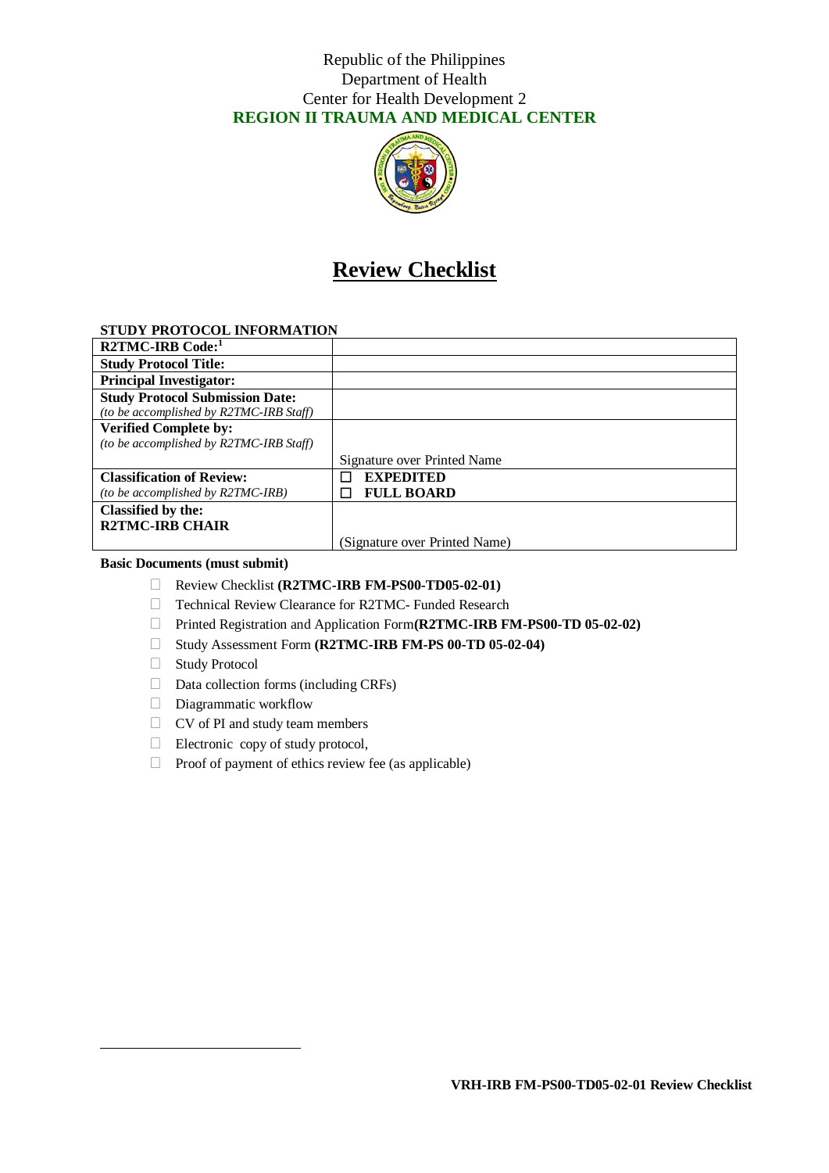## Republic of the Philippines Department of Health Center for Health Development 2 **REGION II TRAUMA AND MEDICAL CENTER**



# **Review Checklist**

## **STUDY PROTOCOL INFORMATION**

| R2TMC-IRB Code:1                        |                               |
|-----------------------------------------|-------------------------------|
| <b>Study Protocol Title:</b>            |                               |
| <b>Principal Investigator:</b>          |                               |
| <b>Study Protocol Submission Date:</b>  |                               |
| (to be accomplished by R2TMC-IRB Staff) |                               |
| <b>Verified Complete by:</b>            |                               |
| (to be accomplished by R2TMC-IRB Staff) |                               |
|                                         | Signature over Printed Name   |
| <b>Classification of Review:</b>        | <b>EXPEDITED</b>              |
| (to be accomplished by R2TMC-IRB)       | <b>FULL BOARD</b>             |
| Classified by the:                      |                               |
| <b>R2TMC-IRB CHAIR</b>                  |                               |
|                                         | (Signature over Printed Name) |

#### **Basic Documents (must submit)**

- Review Checklist **(R2TMC-IRB FM-PS00-TD05-02-01)**
- □ Technical Review Clearance for R2TMC- Funded Research
- Printed Registration and Application Form**(R2TMC-IRB FM-PS00-TD 05-02-02)**
- Study Assessment Form **(R2TMC-IRB FM-PS 00-TD 05-02-04)**
- □ Study Protocol

-

- $\Box$  Data collection forms (including CRFs)
- Diagrammatic workflow
- $\Box$  CV of PI and study team members
- $\Box$  Electronic copy of study protocol,
- $\Box$  Proof of payment of ethics review fee (as applicable)